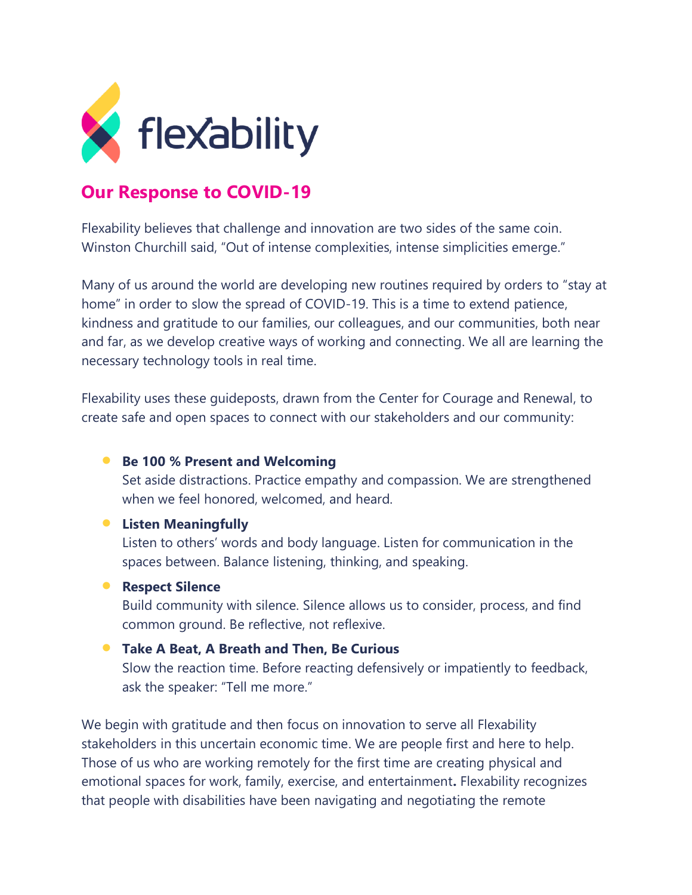

# **Our Response to COVID-19**

Flexability believes that challenge and innovation are two sides of the same coin. Winston Churchill said, "Out of intense complexities, intense simplicities emerge."

Many of us around the world are developing new routines required by orders to "stay at home" in order to slow the spread of COVID-19. This is a time to extend patience, kindness and gratitude to our families, our colleagues, and our communities, both near and far, as we develop creative ways of working and connecting. We all are learning the necessary technology tools in real time.

Flexability uses these guideposts, drawn from the Center for Courage and Renewal, to create safe and open spaces to connect with our stakeholders and our community:

## • **Be 100 % Present and Welcoming**

Set aside distractions. Practice empathy and compassion. We are strengthened when we feel honored, welcomed, and heard.

## • **Listen Meaningfully**

Listen to others' words and body language. Listen for communication in the spaces between. Balance listening, thinking, and speaking.

### • **Respect Silence**

Build community with silence. Silence allows us to consider, process, and find common ground. Be reflective, not reflexive.

## • **Take A Beat, A Breath and Then, Be Curious**

Slow the reaction time. Before reacting defensively or impatiently to feedback, ask the speaker: "Tell me more."

We begin with gratitude and then focus on innovation to serve all Flexability stakeholders in this uncertain economic time. We are people first and here to help. Those of us who are working remotely for the first time are creating physical and emotional spaces for work, family, exercise, and entertainment**.** Flexability recognizes that people with disabilities have been navigating and negotiating the remote